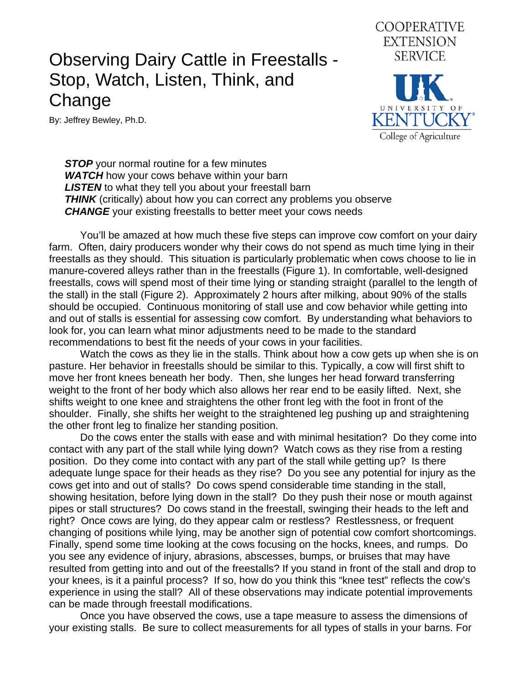## Observing Dairy Cattle in Freestalls - Stop, Watch, Listen, Think, and Change

By: Jeffrey Bewley, Ph.D.



**STOP** your normal routine for a few minutes **WATCH** how your cows behave within your barn **LISTEN** to what they tell you about your freestall barn **THINK** (critically) about how you can correct any problems you observe **CHANGE** your existing freestalls to better meet your cows needs

 You'll be amazed at how much these five steps can improve cow comfort on your dairy farm. Often, dairy producers wonder why their cows do not spend as much time lying in their freestalls as they should. This situation is particularly problematic when cows choose to lie in manure-covered alleys rather than in the freestalls (Figure 1). In comfortable, well-designed freestalls, cows will spend most of their time lying or standing straight (parallel to the length of the stall) in the stall (Figure 2). Approximately 2 hours after milking, about 90% of the stalls should be occupied. Continuous monitoring of stall use and cow behavior while getting into and out of stalls is essential for assessing cow comfort. By understanding what behaviors to look for, you can learn what minor adjustments need to be made to the standard recommendations to best fit the needs of your cows in your facilities.

 Watch the cows as they lie in the stalls. Think about how a cow gets up when she is on pasture. Her behavior in freestalls should be similar to this. Typically, a cow will first shift to move her front knees beneath her body. Then, she lunges her head forward transferring weight to the front of her body which also allows her rear end to be easily lifted. Next, she shifts weight to one knee and straightens the other front leg with the foot in front of the shoulder. Finally, she shifts her weight to the straightened leg pushing up and straightening the other front leg to finalize her standing position.

 Do the cows enter the stalls with ease and with minimal hesitation? Do they come into contact with any part of the stall while lying down? Watch cows as they rise from a resting position. Do they come into contact with any part of the stall while getting up? Is there adequate lunge space for their heads as they rise? Do you see any potential for injury as the cows get into and out of stalls? Do cows spend considerable time standing in the stall, showing hesitation, before lying down in the stall? Do they push their nose or mouth against pipes or stall structures? Do cows stand in the freestall, swinging their heads to the left and right? Once cows are lying, do they appear calm or restless? Restlessness, or frequent changing of positions while lying, may be another sign of potential cow comfort shortcomings. Finally, spend some time looking at the cows focusing on the hocks, knees, and rumps. Do you see any evidence of injury, abrasions, abscesses, bumps, or bruises that may have resulted from getting into and out of the freestalls? If you stand in front of the stall and drop to your knees, is it a painful process? If so, how do you think this "knee test" reflects the cow's experience in using the stall? All of these observations may indicate potential improvements can be made through freestall modifications.

 Once you have observed the cows, use a tape measure to assess the dimensions of your existing stalls. Be sure to collect measurements for all types of stalls in your barns. For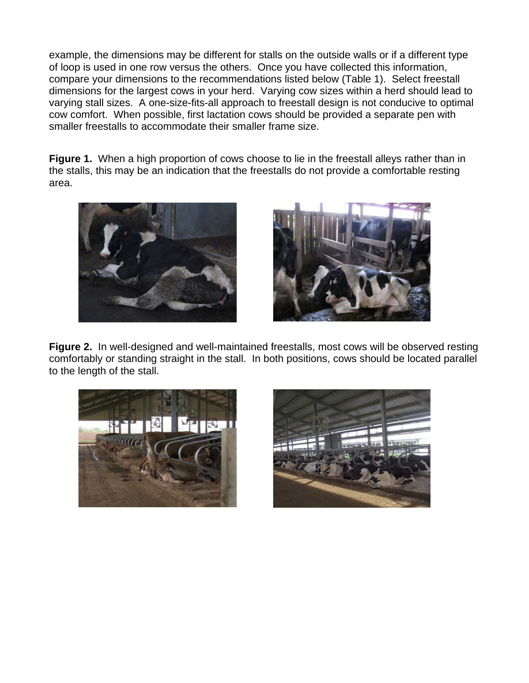example, the dimensions may be different for stalls on the outside walls or if a different type of loop is used in one row versus the others. Once you have collected this information, compare your dimensions to the recommendations listed below (Table 1). Select freestall dimensions for the largest cows in your herd. Varying cow sizes within a herd should lead to varying stall sizes. A one-size-fits-all approach to freestall design is not conducive to optimal cow comfort. When possible, first lactation cows should be provided a separate pen with smaller freestalls to accommodate their smaller frame size.

**Figure 1.** When a high proportion of cows choose to lie in the freestall alleys rather than in the stalls, this may be an indication that the freestalls do not provide a comfortable resting area.





**Figure 2.** In well-designed and well-maintained freestalls, most cows will be observed resting comfortably or standing straight in the stall. In both positions, cows should be located parallel to the length of the stall.